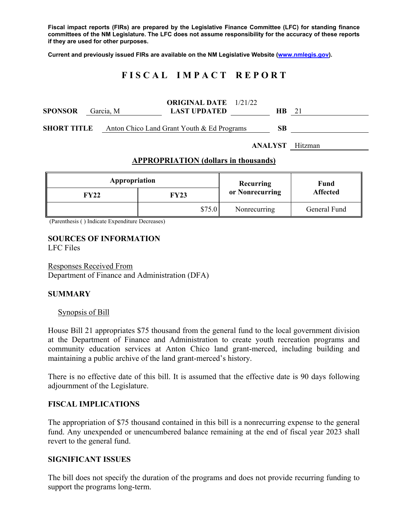**Fiscal impact reports (FIRs) are prepared by the Legislative Finance Committee (LFC) for standing finance committees of the NM Legislature. The LFC does not assume responsibility for the accuracy of these reports if they are used for other purposes.** 

**Current and previously issued FIRs are available on the NM Legislative Website (www.nmlegis.gov).** 

# **F I S C A L I M P A C T R E P O R T**

| <b>SPONSOR</b>         |  | Garcia, M | <b>ORIGINAL DATE</b> 1/21/22<br><b>LAST UPDATED</b>           |  | HB. | 21 |
|------------------------|--|-----------|---------------------------------------------------------------|--|-----|----|
|                        |  |           | <b>SHORT TITLE</b> Anton Chico Land Grant Youth & Ed Programs |  | SВ  |    |
| <b>ANALYST</b> Hitzman |  |           |                                                               |  |     |    |

### **APPROPRIATION (dollars in thousands)**

| Appropriation |        | Recurring       | Fund<br><b>Affected</b> |  |
|---------------|--------|-----------------|-------------------------|--|
| FY22          | FY23   | or Nonrecurring |                         |  |
|               | \$75.0 | Nonrecurring    | General Fund            |  |

(Parenthesis ( ) Indicate Expenditure Decreases)

#### **SOURCES OF INFORMATION**  LFC Files

Responses Received From Department of Finance and Administration (DFA)

### **SUMMARY**

#### Synopsis of Bill

House Bill 21 appropriates \$75 thousand from the general fund to the local government division at the Department of Finance and Administration to create youth recreation programs and community education services at Anton Chico land grant-merced, including building and maintaining a public archive of the land grant-merced's history.

There is no effective date of this bill. It is assumed that the effective date is 90 days following adjournment of the Legislature.

### **FISCAL IMPLICATIONS**

The appropriation of \$75 thousand contained in this bill is a nonrecurring expense to the general fund. Any unexpended or unencumbered balance remaining at the end of fiscal year 2023 shall revert to the general fund.

#### **SIGNIFICANT ISSUES**

The bill does not specify the duration of the programs and does not provide recurring funding to support the programs long-term.